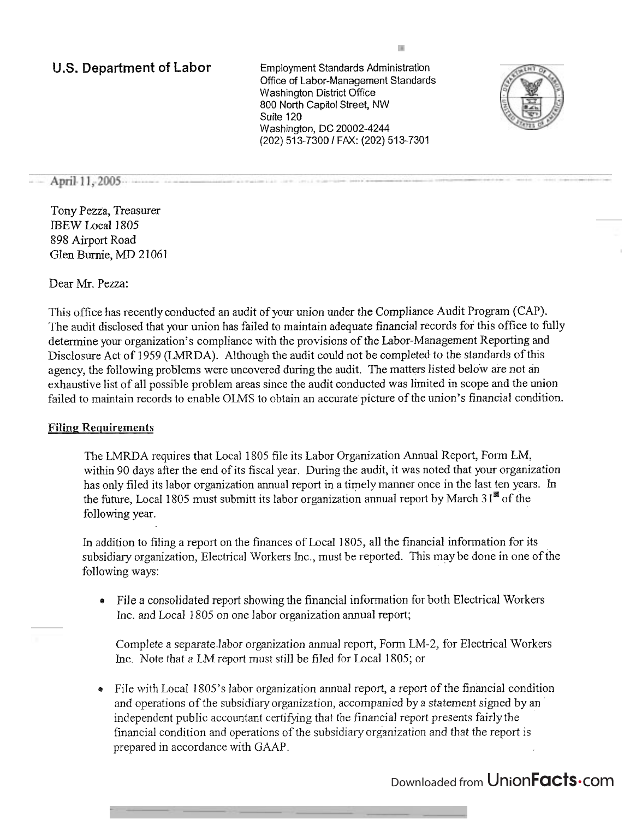# **US.** Department of **Labor** Employment Standards Administration

Office of Labor-Management Standards Washington District Office 800 North Capitol Street, NW Suite 120 Washington, DC 20002-4244 (202) 513-7300 1 FAX: (202) 513-7301



### April 11, 2005

Tony Pezza, Treasurer IBEW Local 1805 898 Airport Road Glen Burnie, MD 21061

Dear Mr. Pezza:

This office has recently conducted an audit of your union under the Compliance Audit Program (CAP). The audit disclosed that your union has failed to maintain adequate financial records for this office to fully determine your organization's compliance with the provisions of the Labor-Management Reporting and Disclosure Act of 1959 (LMRDA). Although the audit could not be completed to the standards of this agency, the following problems were uncovered during the audit. The matters listed below are not an exhaustive list of all possible problem areas since the audit conducted was limited in scope and the union failed to maintain records to enable OLMS to obtain an accurate picture of the union's financial condition.

### **Filing Requirements**

The LMRDA requires that Local 1805 file its Labor Organization Annual Report, Form LM, within 90 days after the end of its fiscal year. During the audit, it was noted that your organization has only filed its labor organization annual report in a timely manner once in the last ten years. **In**  the future, Local 1805 must submitt its labor organization annual report by March 31<sup>st</sup> of the following year.

In addition to filing a report on the finances of Local 1805, all the financial information for its subsidiary organization, Electrical Workers Inc., must be reported. This maybe done in one of the following ways:

File a consolidated report showing the financial information for both Electrical Workers hc. and Local 1805 on one labor organization annual report;

Complete a separate-labor organization annual report, Form LM-2, for Electrical Workers Inc. Note that a LM report must still be filed for Local 1805; or

**<sup>r</sup>**File with Local 1805's labor organization annual report, a report of the financial condition and operations of the subsidiary organization, accompanied by a statement signed by an independent public accountant certifjmg that the financial report presents fairly the financial condition and operations of the subsidiary organization and that the report is prepared in accordance with GAAP.

# Downloaded from UnionFacts.com

厦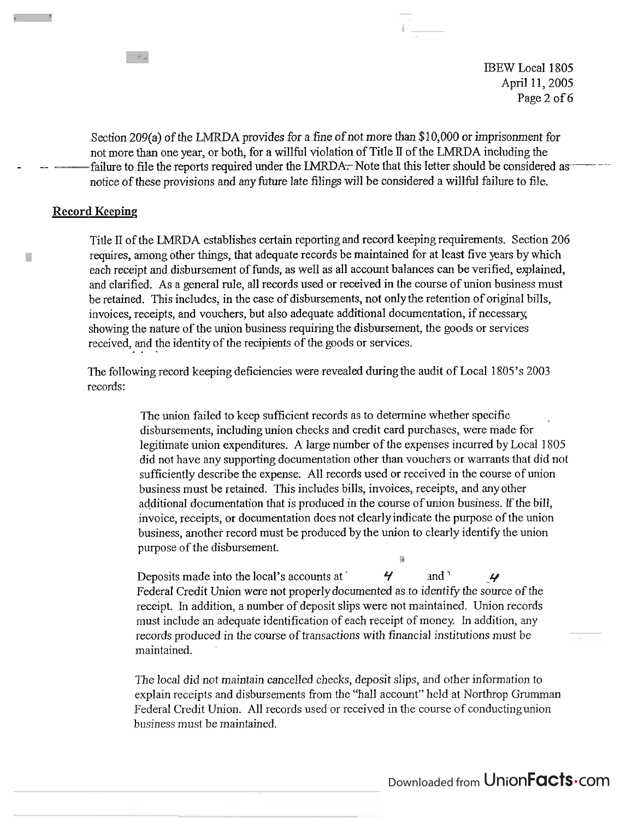IBEW Local 1805 April 11,2005 Page 2 of 6

Section 209(a) of the **LMRDA** provides for a fine of not more than \$1 0,000 or imprisonment for not more than one year, or both, for a willfbl violation of Title **1I** of the LMRDA including the - -- failure to file the reports required under the **IMRDAT-** Note that this letter should be considered as -- - notice of these provisions and any future late filings will be considered a willful failure to file.

#### **Record Keeping**

T.

Title I1 of the LMRDA establishes certain reporting and record keeping requirements. Section 206 requires, among other things, that adequate records be maintained for at least five years by which each receipt and disbursement of funds, as well as all account balances can be verified, explained, and clarified. As a general rule, all records used or received in the course of union business must be retained. This includes, in the case of disbursements, not onlythe retention of original bills, invoices, receipts, and vouchers, but also adequate additional documentation, if necessary, showing the nature of the union business requiring the disbursement, the goods or services received, and the identity of the recipients of the goods or services.

The following record keeping deficiencies were revealed during the audit of Local 1805's 2003 records:

> The union failed to keep sufficient records as to determine whether specific disbursements, including union checks and credit card purchases, were made for legitimate union expenditures. A large number of the expenses incurred by Local 1805 did not have any supporting documentation other than vouchers or warrants that did not sufficiently describe the expense. All records used or received in the course of union business must be retained. This includes bills, invoices, receipts, and any other additionaI documentation that is produced in the course of union business. **If** the bill, invoice, receipts, or documentation does not clearly indicate the purpose of the union business, another record must be produced by the union to clearly identify the union purpose of the disbursement.

Deposits made into the local's accounts at  $\overline{y}$  and  $\overline{y}$ Federal Credit Union were not properlydocumented as to identify the source of the receipt. In addition, a number of deposit slips were not maintained. Union records must include an adequate identification of each receipt of money. In addition, any records produced in the course of transactions with financial institutions must be maintained.

The local did not maintain cancelled checks, deposit slips, and other information to explain receipts and disbursements from the "hall account" held at Northrop Grumrnan Federal Credit Union. All records used or received in the course of conductingunion business must be maintained.

Downloaded from UnionFacts.com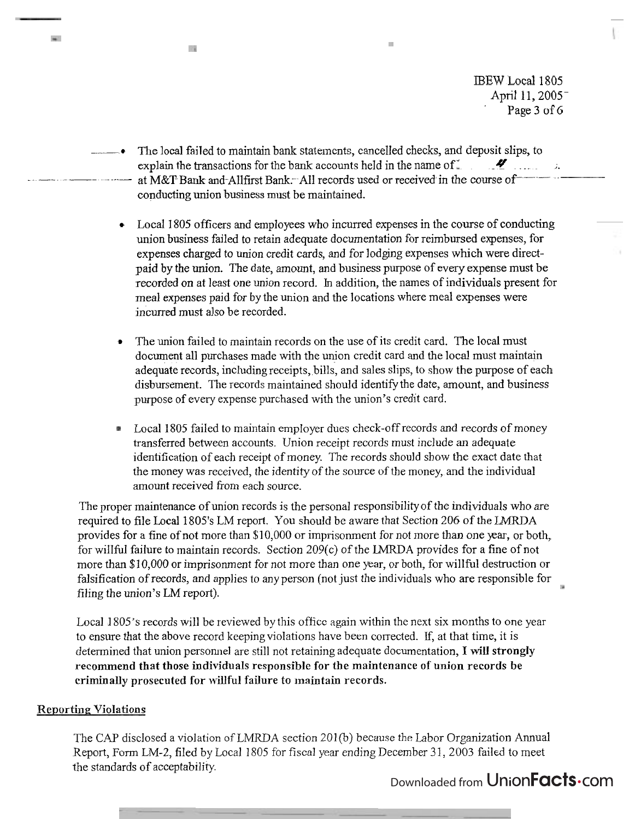IBEW Local 1805 April 11, 2005<sup>-</sup> Page 3 of 6

The local failed to maintain bank statements, cancelled checks, and deposit slips, to explain the transactions for the bank accounts held in the name of **...........**<br>at M&T-Bank and-Allfirst Bank: All records used or received in the course of conducting union business must be maintained.

×

- Local 1805 officers and employees who incurred expenses in the course of conducting union business failed to retain adequate documentation for reimbursed expenses, for expenses charged to union credit cards, and for lodging expenses which were directpaid by the union. The date, amount, and business purpose of every expense must be recorded on at least one union record. In addition, the names of individuals present for meal expenses paid for by the union and the locations where meal expenses were incurred must also be recorded.
- The union failed to maintain records on the use of its credit card. The local must document all purchases made with the union credit card and the local must maintain adequate records, including receipts, bills, and sales slips, to show the purpose of each disbursement. The records maintained should identify the date, amount, and business purpose of every expense purchased with the union's credit card.
- Local 1805 failed to maintain employer dues check-off records and records of money transferred between accounts. Union receipt records must include an adequate identification of each receipt of money. The records should show the exact date that the money was received, the identity of the source of the money, and the individual amount received from each source.

The proper maintenance of union records is the personal responsibility of the individuals who are required to file Local 1805's LM report. You should be aware that Section 206 of the LMRDA provides for a fine of not more than \$10,000 or imprisonment for not more than one year, or both, for wiIIful failure to maintain records. Section 209(c) of the LMRDA provides for a fine of not more than \$10,000 or imprisonment for not more than one year, or both, for willful destruction or falsification of records, and applies to any person (not just the individuals who are responsible for filing the union's LM report).

Local 1805's records will be reviewed by this office again within the next six months to one year to ensure that the above record keeping violations have been corrected. If, at that time, it is determined that union personnel are still not retaining adequate documentation, I will strongly recommend that those individuals responsible for the maintenance of union records be criminally prosecuted for **willful** failure to maintain records.

# **Reporting Violations**

 $\mathbf{m}^{\prime}$ 

6à

The CAP disclosed a violation of LMRDA section 201(b) because the Labor Organization Annual Report, Form LM-2, filed by Local 1805 for fiscal year ending December 3 1, 2003 failed to meet the standards of acceptability.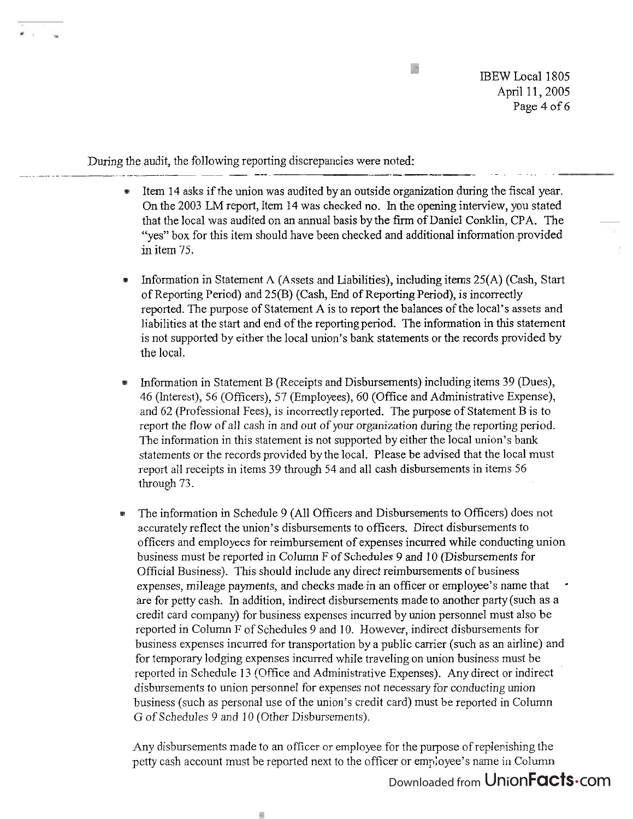**ERS** 

IBEW Local 1805 April 11,2005 Page 4 of *6* 

During the audit, the following reporting discrepancies were noted:

- Item 14 asks if the union was audited by an outside organization during the fiscal year. On the 2003 LM report, Item 14 was checked no. In the opening interview, you stated that the local was audited on an annual basis by the firm of Daniel Conklin, CPA. The "yes" box for this item should have been checked and additional information provided in item 75.
- Information in Statement A (Assets and Liabilities), including items 25(A) (Cash, Start of Reporting Period) and 25(B) (Cash, End of Reporting Period), is incorrectly reported. The purpose of Statement A is to report the balances of the local's assets and liabilities at the start and end of the reportingperiod. The information in this statement is not supported by either the local union's bank statements or the records provided by the local.
- Information in Statement B (Receipts and Disbursements) including items 39 (Dues), 46 (Interest), 56 (Officers), 57 (Employees), 60 (Office and Administrative Expense), and 62 (Professional Fees), is incorrectly reported. The purpose of Statement B is to report the flow of all cash in and out of your organization during the reporting period. The information in this statement is not supported by either the local union's bank statements or the records provided by the local. Please be advised that the local must report all receipts in items 39 through 54 and all cash disbursements in items 56 through 73.
- The information in Schedule 9 (All Officers and Disbursements to Officers) does not accurately reflect the union's disbursements to officers. Direct disbursements to officers and employees for reimbursement of expenses incurred while conducting union business must be reported in Column F of Schedules 9 and I0 (Disbursements for Official Business). This should include any direct reimbursements of business expenses, mileage payments, and checks made in an officer or employee's name that are for petty cash. In addition, indirect disbursements made to another party (such as a credit card company) for business expenses incurred by union personnel must also be reported in Column F of Schedules 9 and 10. However, indirect disbursements for business expenses incurred for transportation by a public carrier (such as an airline) and for temporary lodging expenses incurred while traveling on union business must be reported in Schedule 13 (Office and Administrative Expenses). Any direct or indirect disbursements to union personnel for expenses not necessary for conducting union business (such as personal use of the union's credit card) must be reported in Column G of Schedules 9 and I0 (Other Disbursements).

Any disbursements made to an officer or employee for the purpose of replenishing the petty cash account must be reported next to the officer or employee's name in Column

à.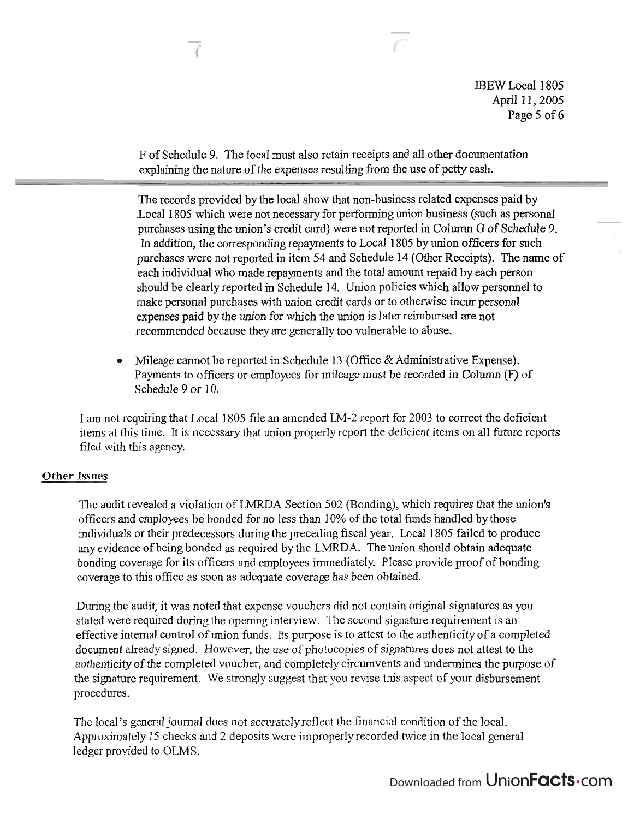JBEW Local 1805 April 11, 2005 Page **5** of 6

F of Schedule 9. The local must also retain receipts and all other documentation explaining the nature of the expenses resulting from the use of petty cash.

The records provided by the local show that non-business related expenses paid by Local 1805 which were not necessary for performing union business (such as personal purchases using the union's credit card) were not reported in Column G of Schedule 9. In addition, the corresponding repayments to Local 1 805 by union officers for such purchases were not reported in item 54 and Schedule 14 (Other Receipts). The name of each individual who made repayments and the total amount repaid by each person should be clearly reported in Schedule 14. Union policies which allow personnel to make personal purchases with union credit cards or to otherwise incur personal expenses paid by the union for which the union is later reimbursed are not recommended because they are generally too vulnerable to abuse.

**<sup>e</sup>**Mileage cannot be reported in Schedule 13 (Office & Administrative Expense). Payments to officers or employees for mileage must be recorded in Column (F) of Schedule 9 or 10.

I am not requiring that Local 1805 file an amended LM-2 report for 2003 to correct the deficient items at this time. It is necessary that union properly report the deficient items on all fiture reports fiIed with this agency.

# **Other Issues**

The audit revealed a violation of LMRDA Section 502 (Bonding), which requires that the union's officers and employees be bonded for no less than 10% of the total funds handled by those individuals or their predecessors during the preceding fiscal year. Local 1805 failed to produce any evidence of being bonded as required by the LMRDA. The union should obtain adequate bonding coverage for its officers and employees immediately. PIease provide proof of bonding coverage to this office as soon as adequate coverage has been obtained.

During the audit, it was noted that expense vouchers did not contain original signatures as you stated were required during the opening interview. The second signature requirement is an effective internal control of union funds. Its purpose is to attest to the authenticity of a completed document already signed. However, the use of photocopies of signatures does not attest to the authenticity of the completed voucher, and completely circumvents and undermines the purpose of the signature requirement. We strongly suggest that you revise this aspect of your disbursement procedures.

The local's general journal does not accurately reflect the financial condition of the local. Approximately 15 checks and 2 deposits were improperly recorded twice in the local general <sup>1</sup>edger provided to OLMS.